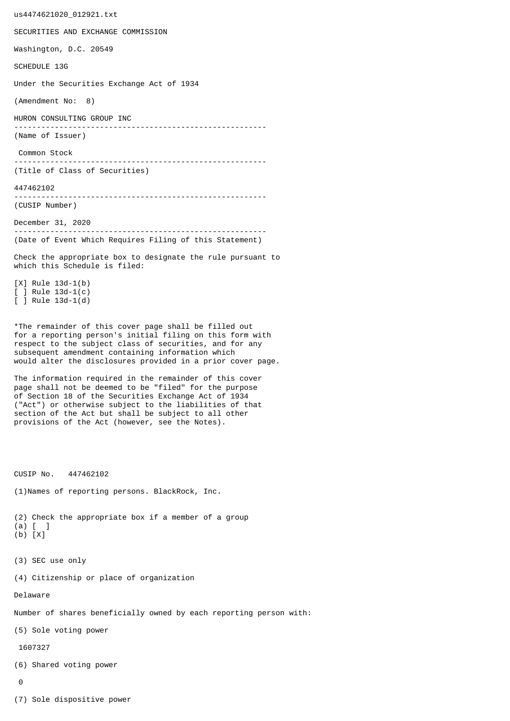us4474621020\_012921.txt SECURITIES AND EXCHANGE COMMISSION Washington, D.C. 20549 SCHEDULE 13G Under the Securities Exchange Act of 1934 (Amendment No: 8) HURON CONSULTING GROUP INC -------------------------------------------------------- (Name of Issuer) Common Stock -------------------------------------------------------- (Title of Class of Securities) 447462102 -------------------------------------------------------- (CUSIP Number) December 31, 2020 -------------------------------------------------------- (Date of Event Which Requires Filing of this Statement) Check the appropriate box to designate the rule pursuant to which this Schedule is filed: [X] Rule 13d-1(b) [ ] Rule 13d-1(c) [ ] Rule 13d-1(d) \*The remainder of this cover page shall be filled out for a reporting person's initial filing on this form with respect to the subject class of securities, and for any subsequent amendment containing information which would alter the disclosures provided in a prior cover page. The information required in the remainder of this cover page shall not be deemed to be "filed" for the purpose of Section 18 of the Securities Exchange Act of 1934 ("Act") or otherwise subject to the liabilities of that section of the Act but shall be subject to all other provisions of the Act (however, see the Notes). CUSIP No. 447462102 (1)Names of reporting persons. BlackRock, Inc. (2) Check the appropriate box if a member of a group (a) [ ] (b) [X] (3) SEC use only (4) Citizenship or place of organization Delaware Number of shares beneficially owned by each reporting person with: (5) Sole voting power 1607327 (6) Shared voting power  $\Omega$ 

(7) Sole dispositive power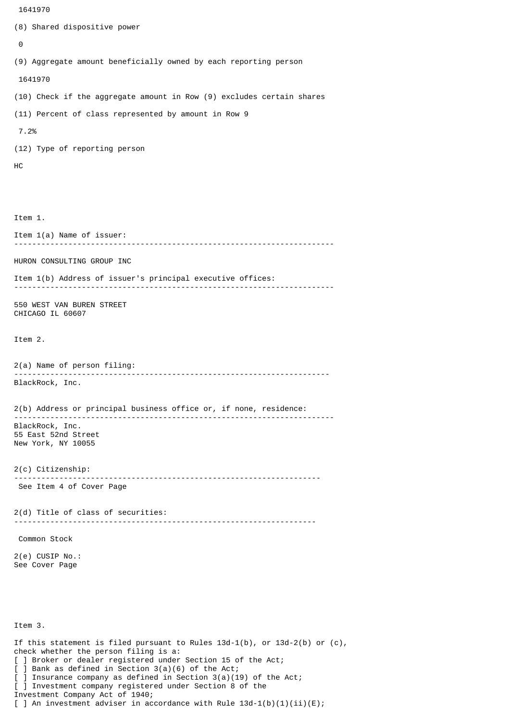```
 1641970
(8) Shared dispositive power
 \boldsymbol{\Theta}(9) Aggregate amount beneficially owned by each reporting person
  1641970
(10) Check if the aggregate amount in Row (9) excludes certain shares
(11) Percent of class represented by amount in Row 9
  7.2%
(12) Type of reporting person
HC
Item 1.
Item 1(a) Name of issuer:
            -----------------------------------------------------------------------
HURON CONSULTING GROUP INC
Item 1(b) Address of issuer's principal executive offices:
 -----------------------------------------------------------------------
550 WEST VAN BUREN STREET
CHICAGO IL 60607
Item 2.
2(a) Name of person filing:
               ----------------------------------------------------------------------
BlackRock, Inc.
2(b) Address or principal business office or, if none, residence:
 -----------------------------------------------------------------------
BlackRock, Inc.
55 East 52nd Street
New York, NY 10055
2(c) Citizenship:
                             --------------------------------------------------------------------
 See Item 4 of Cover Page
2(d) Title of class of securities:
                                       -------------------------------------------------------------------
 Common Stock
2(e) CUSIP No.:
See Cover Page
Item 3.
If this statement is filed pursuant to Rules 13d-1(b), or 13d-2(b) or (c),
check whether the person filing is a:
[ ] Broker or dealer registered under Section 15 of the Act;
[ ] Bank as defined in Section 3(a)(6) of the Act;
```
] Insurance company as defined in Section  $3(a)(19)$  of the Act;

[ ] An investment adviser in accordance with Rule  $13d-1(b)(1)(ii)(E)$ ;

[ ] Investment company registered under Section 8 of the

Investment Company Act of 1940;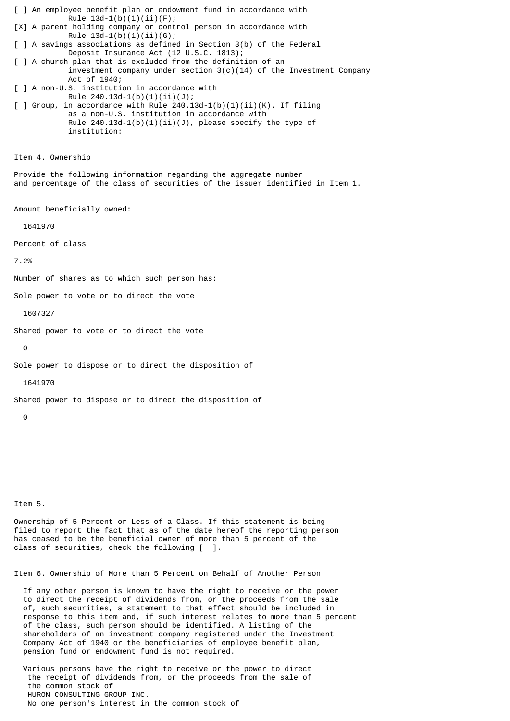[ ] An employee benefit plan or endowment fund in accordance with Rule  $13d-1(b)(1)(ii)(F);$ [X] A parent holding company or control person in accordance with Rule  $13d-1(b)(1)(ii)(G);$ [ ] A savings associations as defined in Section 3(b) of the Federal Deposit Insurance Act (12 U.S.C. 1813); [ ] A church plan that is excluded from the definition of an investment company under section  $3(c)(14)$  of the Investment Company Act of 1940; [ ] A non-U.S. institution in accordance with Rule  $240.13d-1(b)(1)(ii)(J);$  $\lceil$  ] Group, in accordance with Rule 240.13d-1(b)(1)(ii)(K). If filing as a non-U.S. institution in accordance with Rule  $240.13d-1(b)(1)(ii)(J)$ , please specify the type of institution: Item 4. Ownership Provide the following information regarding the aggregate number and percentage of the class of securities of the issuer identified in Item 1. Amount beneficially owned: 1641970 Percent of class 7.2% Number of shares as to which such person has: Sole power to vote or to direct the vote 1607327 Shared power to vote or to direct the vote  $\Theta$ Sole power to dispose or to direct the disposition of 1641970 Shared power to dispose or to direct the disposition of 0

Item 5.

Ownership of 5 Percent or Less of a Class. If this statement is being filed to report the fact that as of the date hereof the reporting person has ceased to be the beneficial owner of more than 5 percent of the class of securities, check the following [ ].

Item 6. Ownership of More than 5 Percent on Behalf of Another Person

 If any other person is known to have the right to receive or the power to direct the receipt of dividends from, or the proceeds from the sale of, such securities, a statement to that effect should be included in response to this item and, if such interest relates to more than 5 percent of the class, such person should be identified. A listing of the shareholders of an investment company registered under the Investment Company Act of 1940 or the beneficiaries of employee benefit plan, pension fund or endowment fund is not required.

 Various persons have the right to receive or the power to direct the receipt of dividends from, or the proceeds from the sale of the common stock of HURON CONSULTING GROUP INC. No one person's interest in the common stock of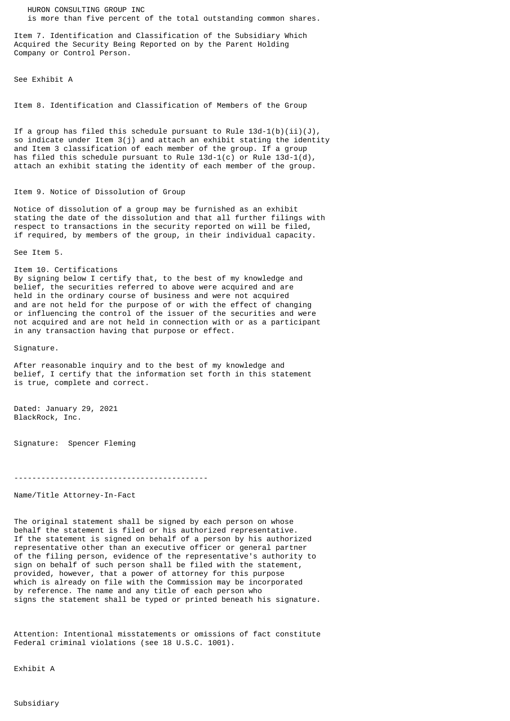HURON CONSULTING GROUP INC is more than five percent of the total outstanding common shares.

Item 7. Identification and Classification of the Subsidiary Which Acquired the Security Being Reported on by the Parent Holding Company or Control Person.

See Exhibit A

Item 8. Identification and Classification of Members of the Group

If a group has filed this schedule pursuant to Rule  $13d-1(b)(ii)(J)$ , so indicate under Item 3(j) and attach an exhibit stating the identity and Item 3 classification of each member of the group. If a group has filed this schedule pursuant to Rule  $13d-1(c)$  or Rule  $13d-1(d)$ , attach an exhibit stating the identity of each member of the group.

## Item 9. Notice of Dissolution of Group

Notice of dissolution of a group may be furnished as an exhibit stating the date of the dissolution and that all further filings with respect to transactions in the security reported on will be filed, if required, by members of the group, in their individual capacity.

See Item 5.

Item 10. Certifications By signing below I certify that, to the best of my knowledge and belief, the securities referred to above were acquired and are held in the ordinary course of business and were not acquired and are not held for the purpose of or with the effect of changing or influencing the control of the issuer of the securities and were not acquired and are not held in connection with or as a participant in any transaction having that purpose or effect.

Signature.

After reasonable inquiry and to the best of my knowledge and belief, I certify that the information set forth in this statement is true, complete and correct.

Dated: January 29, 2021 BlackRock, Inc.

Signature: Spencer Fleming

-------------------------------------------

Name/Title Attorney-In-Fact

The original statement shall be signed by each person on whose behalf the statement is filed or his authorized representative. If the statement is signed on behalf of a person by his authorized representative other than an executive officer or general partner of the filing person, evidence of the representative's authority to sign on behalf of such person shall be filed with the statement, provided, however, that a power of attorney for this purpose which is already on file with the Commission may be incorporated by reference. The name and any title of each person who signs the statement shall be typed or printed beneath his signature.

Attention: Intentional misstatements or omissions of fact constitute Federal criminal violations (see 18 U.S.C. 1001).

Exhibit A